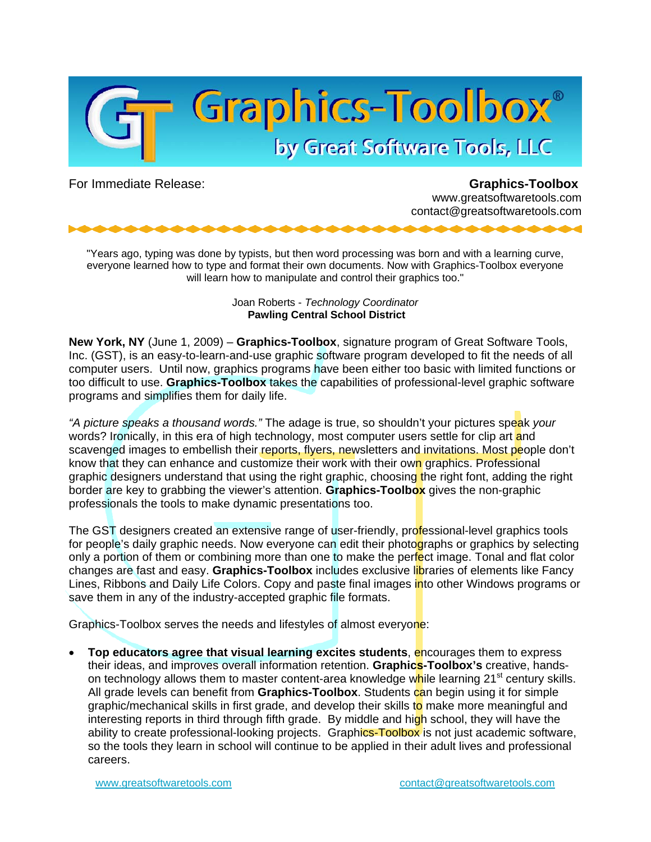

For Immediate Release: **Graphics-Toolbox** www.greatsoftwaretools.com contact@greatsoftwaretools.com

"Years ago, typing was done by typists, but then word processing was born and with a learning curve, everyone learned how to type and format their own documents. Now with Graphics-Toolbox everyone will learn how to manipulate and control their graphics too."

> Joan Roberts - *Technology Coordinator*  **Pawling Central School District**

**New York, NY** (June 1, 2009) – **Graphics-Toolbox**, signature program of Great Software Tools, Inc. (GST), is an easy-to-learn-and-use graphic software program developed to fit the needs of all computer users. Until now, graphics programs have been either too basic with limited functions or too difficult to use. **Graphics-Toolbox** takes the capabilities of professional-level graphic software programs and simplifies them for daily life.

*"A picture speaks a thousand words."* The adage is true, so shouldn't your pictures speak *your* words? Ironically, in this era of high technology, most computer users settle for clip art and scavenged images to embellish their reports, flyers, newsletters and invitations. Most people don't know that they can enhance and customize their work with their own graphics. Professional graphic designers understand that using the right graphic, choosing the right font, adding the right border are key to grabbing the viewer's attention. **Graphics-Toolbox** gives the non-graphic professionals the tools to make dynamic presentations too.

The GST designers created an extensive range of user-friendly, professional-level graphics tools for people's daily graphic needs. Now everyone can edit their photographs or graphics by selecting only a portion of them or combining more than one to make the perfect image. Tonal and flat color changes are fast and easy. **Graphics-Toolbox** includes exclusive libraries of elements like Fancy Lines, Ribbons and Daily Life Colors. Copy and paste final images into other Windows programs or save them in any of the industry-accepted graphic file formats.

Graphics-Toolbox serves the needs and lifestyles of almost everyone:

**Top educators agree that visual learning excites students, encourages them to express** their ideas, and improves overall information retention. **Graphics-Toolbox's** creative, handson technology allows them to master content-area knowledge while learning 21<sup>st</sup> century skills. All grade levels can benefit from **Graphics-Toolbox**. Students can begin using it for simple graphic/mechanical skills in first grade, and develop their skills to make more meaningful and interesting reports in third through fifth grade. By middle and high school, they will have the ability to create professional-looking projects. Graphics-Toolbox is not just academic software, so the tools they learn in school will continue to be applied in their adult lives and professional careers.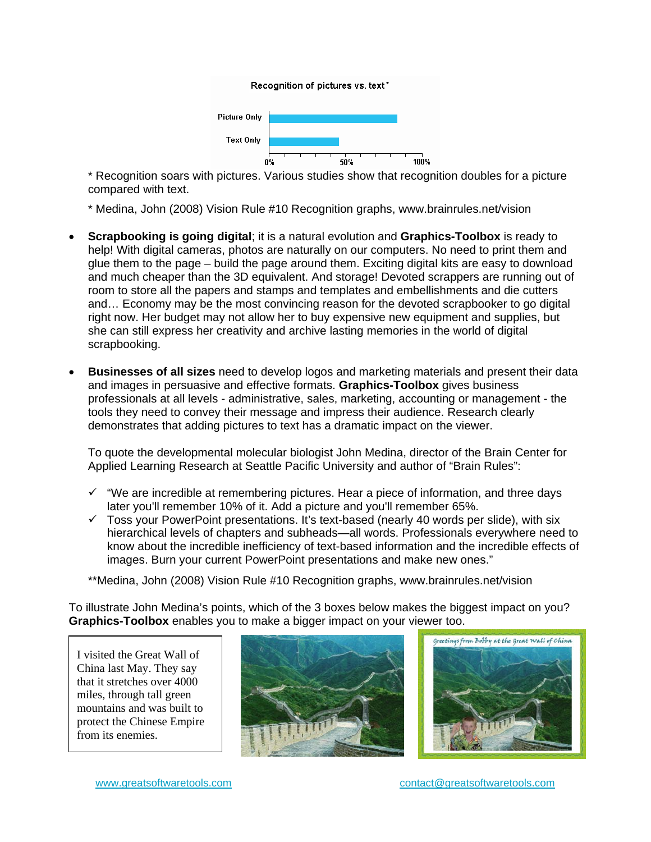

\* Recognition soars with pictures. Various studies show that recognition doubles for a picture compared with text.

\* Medina, John (2008) Vision Rule #10 Recognition graphs, www.brainrules.net/vision

- **Scrapbooking is going digital**; it is a natural evolution and **Graphics-Toolbox** is ready to help! With digital cameras, photos are naturally on our computers. No need to print them and glue them to the page – build the page around them. Exciting digital kits are easy to download and much cheaper than the 3D equivalent. And storage! Devoted scrappers are running out of room to store all the papers and stamps and templates and embellishments and die cutters and… Economy may be the most convincing reason for the devoted scrapbooker to go digital right now. Her budget may not allow her to buy expensive new equipment and supplies, but she can still express her creativity and archive lasting memories in the world of digital scrapbooking.
- **Businesses of all sizes** need to develop logos and marketing materials and present their data and images in persuasive and effective formats. **Graphics-Toolbox** gives business professionals at all levels - administrative, sales, marketing, accounting or management - the tools they need to convey their message and impress their audience. Research clearly demonstrates that adding pictures to text has a dramatic impact on the viewer.

To quote the developmental molecular biologist John Medina, director of the Brain Center for Applied Learning Research at Seattle Pacific University and author of "Brain Rules":

- $\checkmark$  "We are incredible at remembering pictures. Hear a piece of information, and three days later you'll remember 10% of it. Add a picture and you'll remember 65%.
- $\checkmark$  Toss your PowerPoint presentations. It's text-based (nearly 40 words per slide), with six hierarchical levels of chapters and subheads—all words. Professionals everywhere need to know about the incredible inefficiency of text-based information and the incredible effects of images. Burn your current PowerPoint presentations and make new ones."

\*\*Medina, John (2008) Vision Rule #10 Recognition graphs, www.brainrules.net/vision

To illustrate John Medina's points, which of the 3 boxes below makes the biggest impact on you? **Graphics-Toolbox** enables you to make a bigger impact on your viewer too.

I visited the Great Wall of China last May. They say that it stretches over 4000 miles, through tall green mountains and was built to protect the Chinese Empire from its enemies.

F